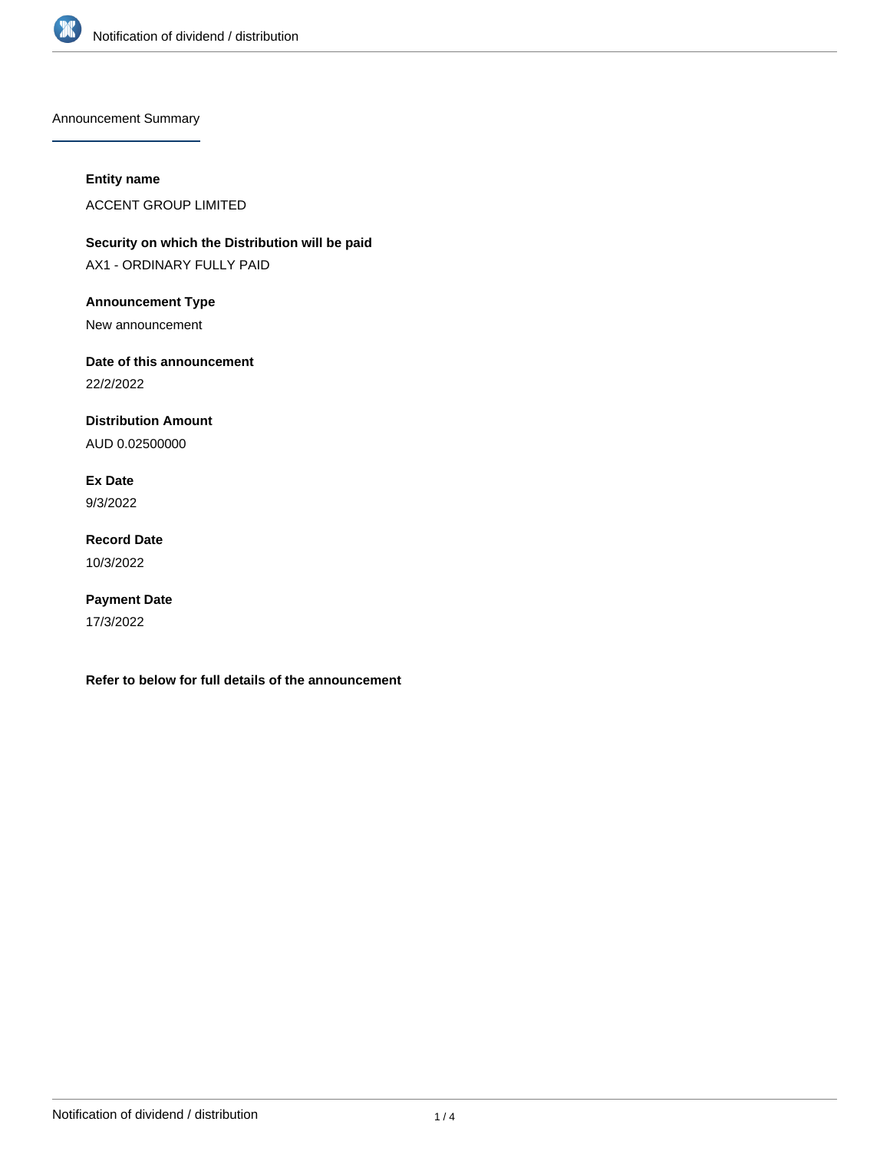

Announcement Summary

### **Entity name**

ACCENT GROUP LIMITED

**Security on which the Distribution will be paid** AX1 - ORDINARY FULLY PAID

### **Announcement Type**

New announcement

## **Date of this announcement**

22/2/2022

## **Distribution Amount**

AUD 0.02500000

### **Ex Date**

9/3/2022

## **Record Date** 10/3/2022

# **Payment Date**

17/3/2022

**Refer to below for full details of the announcement**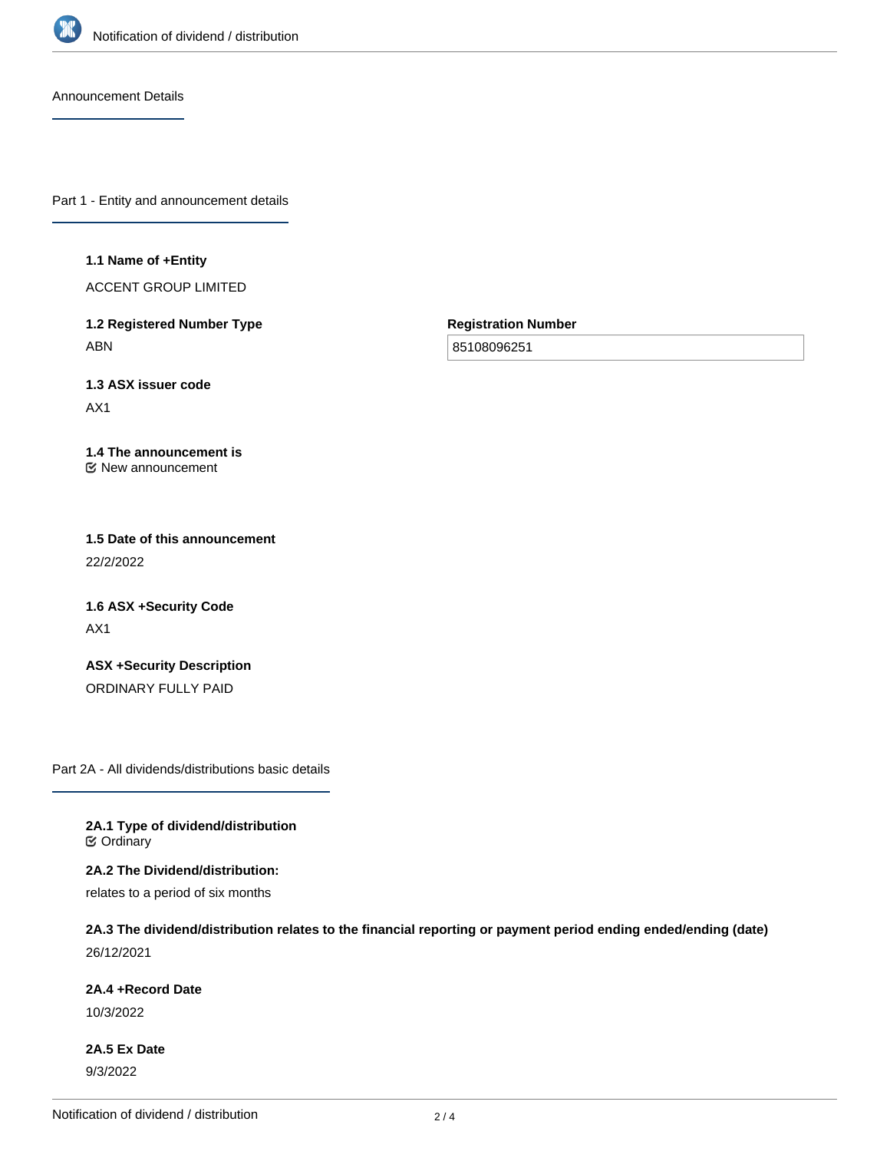

Announcement Details

Part 1 - Entity and announcement details

#### **1.1 Name of +Entity**

ACCENT GROUP LIMITED

**1.2 Registered Number Type** ABN

**Registration Number**

85108096251

**1.3 ASX issuer code**

AX1

#### **1.4 The announcement is** New announcement

**1.5 Date of this announcement** 22/2/2022

**1.6 ASX +Security Code** AX1

**ASX +Security Description** ORDINARY FULLY PAID

Part 2A - All dividends/distributions basic details

**2A.1 Type of dividend/distribution C** Ordinary

**2A.2 The Dividend/distribution:**

relates to a period of six months

**2A.3 The dividend/distribution relates to the financial reporting or payment period ending ended/ending (date)** 26/12/2021

**2A.4 +Record Date**

10/3/2022

**2A.5 Ex Date** 9/3/2022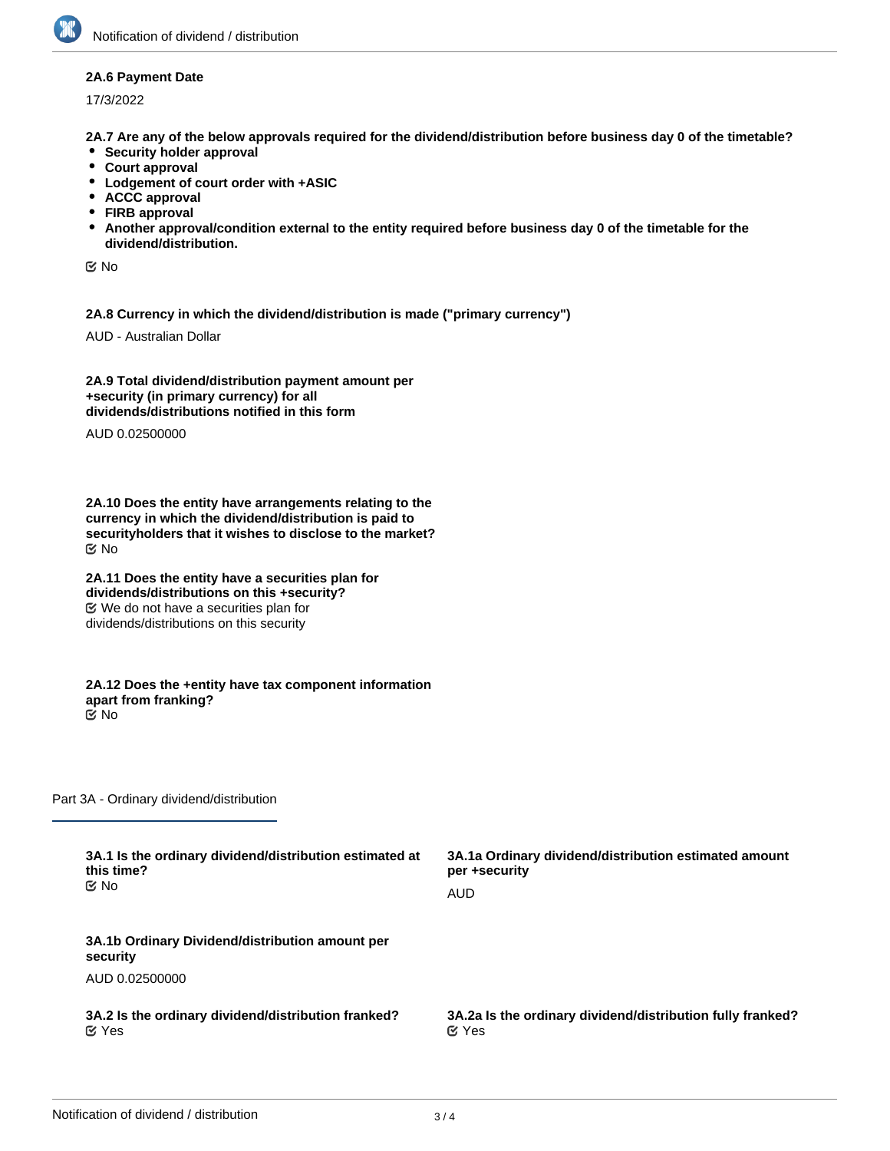#### **2A.6 Payment Date**

17/3/2022

**2A.7 Are any of the below approvals required for the dividend/distribution before business day 0 of the timetable?**

- **•** Security holder approval
- **Court approval**
- **Lodgement of court order with +ASIC**
- **ACCC approval**
- **FIRB approval**
- **Another approval/condition external to the entity required before business day 0 of the timetable for the dividend/distribution.**

No

**2A.8 Currency in which the dividend/distribution is made ("primary currency")**

AUD - Australian Dollar

**2A.9 Total dividend/distribution payment amount per +security (in primary currency) for all dividends/distributions notified in this form**

AUD 0.02500000

**2A.10 Does the entity have arrangements relating to the currency in which the dividend/distribution is paid to securityholders that it wishes to disclose to the market?** No

**2A.11 Does the entity have a securities plan for dividends/distributions on this +security?** We do not have a securities plan for dividends/distributions on this security

**2A.12 Does the +entity have tax component information apart from franking?** No

Part 3A - Ordinary dividend/distribution

| 3A.1 Is the ordinary dividend/distribution estimated at     | 3A.1a Ordinary dividend/distribution estimated amount      |
|-------------------------------------------------------------|------------------------------------------------------------|
| this time?                                                  | per +security                                              |
| <b>≝</b> No                                                 | AUD                                                        |
| 3A.1b Ordinary Dividend/distribution amount per<br>security |                                                            |
| AUD 0.02500000                                              |                                                            |
| 3A.2 Is the ordinary dividend/distribution franked?         | 3A.2a Is the ordinary dividend/distribution fully franked? |
| $\alpha$ Yes                                                | $\alpha$ Yes                                               |